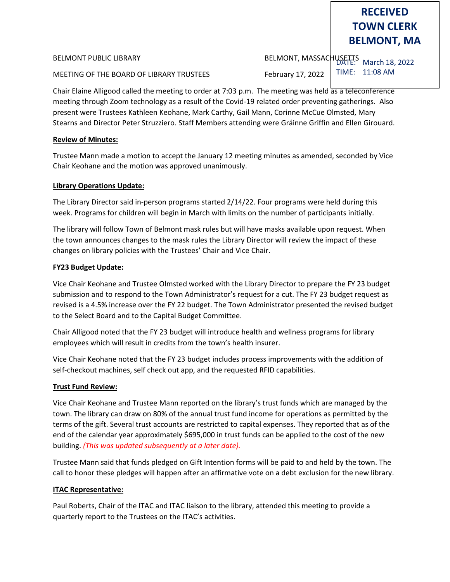MEETING OF THE BOARD OF LIBRARY TRUSTEES February 17, 2022

DATE: March 18, 2022 BELMONT PUBLIC LIBRARY BELMONT, MASSACHUSETTS TIME: 11:08 AM

Chair Elaine Alligood called the meeting to order at 7:03 p.m. The meeting was held as a teleconference meeting through Zoom technology as a result of the Covid-19 related order preventing gatherings. Also present were Trustees Kathleen Keohane, Mark Carthy, Gail Mann, Corinne McCue Olmsted, Mary Stearns and Director Peter Struzziero. Staff Members attending were Gráinne Griffin and Ellen Girouard.

### **Review of Minutes:**

Trustee Mann made a motion to accept the January 12 meeting minutes as amended, seconded by Vice Chair Keohane and the motion was approved unanimously.

### **Library Operations Update:**

The Library Director said in-person programs started 2/14/22. Four programs were held during this week. Programs for children will begin in March with limits on the number of participants initially.

The library will follow Town of Belmont mask rules but will have masks available upon request. When the town announces changes to the mask rules the Library Director will review the impact of these changes on library policies with the Trustees' Chair and Vice Chair.

### **FY23 Budget Update:**

Vice Chair Keohane and Trustee Olmsted worked with the Library Director to prepare the FY 23 budget submission and to respond to the Town Administrator's request for a cut. The FY 23 budget request as revised is a 4.5% increase over the FY 22 budget. The Town Administrator presented the revised budget to the Select Board and to the Capital Budget Committee.

Chair Alligood noted that the FY 23 budget will introduce health and wellness programs for library employees which will result in credits from the town's health insurer.

Vice Chair Keohane noted that the FY 23 budget includes process improvements with the addition of self-checkout machines, self check out app, and the requested RFID capabilities.

# **Trust Fund Review:**

Vice Chair Keohane and Trustee Mann reported on the library's trust funds which are managed by the town. The library can draw on 80% of the annual trust fund income for operations as permitted by the terms of the gift. Several trust accounts are restricted to capital expenses. They reported that as of the end of the calendar year approximately \$695,000 in trust funds can be applied to the cost of the new building. *(This was updated subsequently at a later date).*

Trustee Mann said that funds pledged on Gift Intention forms will be paid to and held by the town. The call to honor these pledges will happen after an affirmative vote on a debt exclusion for the new library.

# **ITAC Representative:**

Paul Roberts, Chair of the ITAC and ITAC liaison to the library, attended this meeting to provide a quarterly report to the Trustees on the ITAC's activities.

# **RECEIVED TOWN CLERK BELMONT, MA**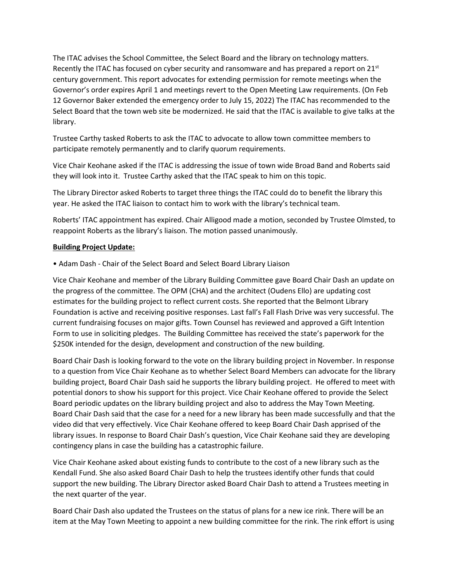The ITAC advises the School Committee, the Select Board and the library on technology matters. Recently the ITAC has focused on cyber security and ransomware and has prepared a report on  $21^{st}$ century government. This report advocates for extending permission for remote meetings when the Governor's order expires April 1 and meetings revert to the Open Meeting Law requirements. (On Feb 12 Governor Baker extended the emergency order to July 15, 2022) The ITAC has recommended to the Select Board that the town web site be modernized. He said that the ITAC is available to give talks at the library.

Trustee Carthy tasked Roberts to ask the ITAC to advocate to allow town committee members to participate remotely permanently and to clarify quorum requirements.

Vice Chair Keohane asked if the ITAC is addressing the issue of town wide Broad Band and Roberts said they will look into it. Trustee Carthy asked that the ITAC speak to him on this topic.

The Library Director asked Roberts to target three things the ITAC could do to benefit the library this year. He asked the ITAC liaison to contact him to work with the library's technical team.

Roberts' ITAC appointment has expired. Chair Alligood made a motion, seconded by Trustee Olmsted, to reappoint Roberts as the library's liaison. The motion passed unanimously.

### **Building Project Update:**

• Adam Dash - Chair of the Select Board and Select Board Library Liaison

Vice Chair Keohane and member of the Library Building Committee gave Board Chair Dash an update on the progress of the committee. The OPM (CHA) and the architect (Oudens Ello) are updating cost estimates for the building project to reflect current costs. She reported that the Belmont Library Foundation is active and receiving positive responses. Last fall's Fall Flash Drive was very successful. The current fundraising focuses on major gifts. Town Counsel has reviewed and approved a Gift Intention Form to use in soliciting pledges. The Building Committee has received the state's paperwork for the \$250K intended for the design, development and construction of the new building.

Board Chair Dash is looking forward to the vote on the library building project in November. In response to a question from Vice Chair Keohane as to whether Select Board Members can advocate for the library building project, Board Chair Dash said he supports the library building project. He offered to meet with potential donors to show his support for this project. Vice Chair Keohane offered to provide the Select Board periodic updates on the library building project and also to address the May Town Meeting. Board Chair Dash said that the case for a need for a new library has been made successfully and that the video did that very effectively. Vice Chair Keohane offered to keep Board Chair Dash apprised of the library issues. In response to Board Chair Dash's question, Vice Chair Keohane said they are developing contingency plans in case the building has a catastrophic failure.

Vice Chair Keohane asked about existing funds to contribute to the cost of a new library such as the Kendall Fund. She also asked Board Chair Dash to help the trustees identify other funds that could support the new building. The Library Director asked Board Chair Dash to attend a Trustees meeting in the next quarter of the year.

Board Chair Dash also updated the Trustees on the status of plans for a new ice rink. There will be an item at the May Town Meeting to appoint a new building committee for the rink. The rink effort is using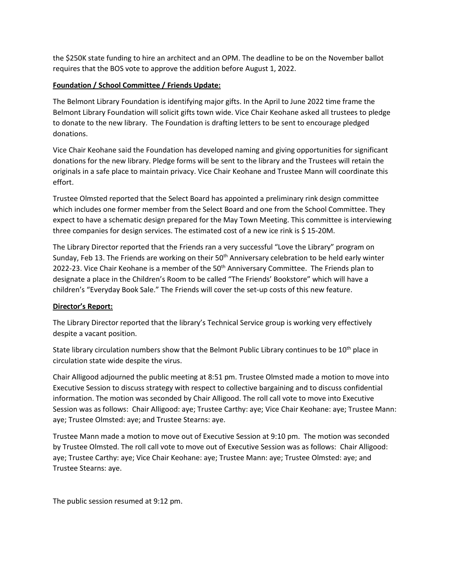the \$250K state funding to hire an architect and an OPM. The deadline to be on the November ballot requires that the BOS vote to approve the addition before August 1, 2022.

## **Foundation / School Committee / Friends Update:**

The Belmont Library Foundation is identifying major gifts. In the April to June 2022 time frame the Belmont Library Foundation will solicit gifts town wide. Vice Chair Keohane asked all trustees to pledge to donate to the new library. The Foundation is drafting letters to be sent to encourage pledged donations.

Vice Chair Keohane said the Foundation has developed naming and giving opportunities for significant donations for the new library. Pledge forms will be sent to the library and the Trustees will retain the originals in a safe place to maintain privacy. Vice Chair Keohane and Trustee Mann will coordinate this effort.

Trustee Olmsted reported that the Select Board has appointed a preliminary rink design committee which includes one former member from the Select Board and one from the School Committee. They expect to have a schematic design prepared for the May Town Meeting. This committee is interviewing three companies for design services. The estimated cost of a new ice rink is \$ 15-20M.

The Library Director reported that the Friends ran a very successful "Love the Library" program on Sunday, Feb 13. The Friends are working on their  $50<sup>th</sup>$  Anniversary celebration to be held early winter 2022-23. Vice Chair Keohane is a member of the 50<sup>th</sup> Anniversary Committee. The Friends plan to designate a place in the Children's Room to be called "The Friends' Bookstore" which will have a children's "Everyday Book Sale." The Friends will cover the set-up costs of this new feature.

### **Director's Report:**

The Library Director reported that the library's Technical Service group is working very effectively despite a vacant position.

State library circulation numbers show that the Belmont Public Library continues to be 10<sup>th</sup> place in circulation state wide despite the virus.

Chair Alligood adjourned the public meeting at 8:51 pm. Trustee Olmsted made a motion to move into Executive Session to discuss strategy with respect to collective bargaining and to discuss confidential information. The motion was seconded by Chair Alligood. The roll call vote to move into Executive Session was as follows: Chair Alligood: aye; Trustee Carthy: aye; Vice Chair Keohane: aye; Trustee Mann: aye; Trustee Olmsted: aye; and Trustee Stearns: aye.

Trustee Mann made a motion to move out of Executive Session at 9:10 pm. The motion was seconded by Trustee Olmsted. The roll call vote to move out of Executive Session was as follows: Chair Alligood: aye; Trustee Carthy: aye; Vice Chair Keohane: aye; Trustee Mann: aye; Trustee Olmsted: aye; and Trustee Stearns: aye.

The public session resumed at 9:12 pm.